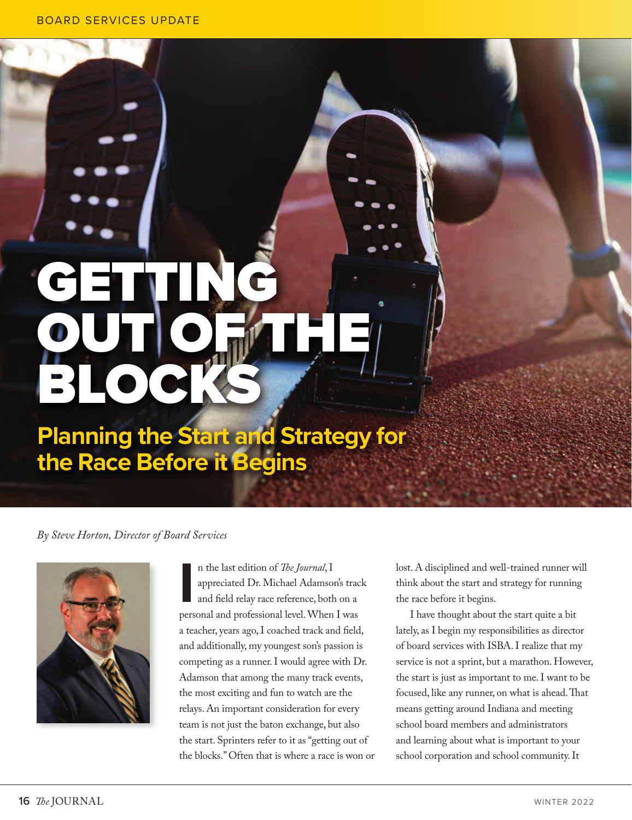# GETTING **OUT OF THE** BLOCKS

## **Planning the Start and Strategy for the Race Before it Begins**

## *By Steve Horton, Director of Board Services*



II is the last edition of *The Journal*, I<br>
appreciated Dr. Michael Adamson's trace<br>
and field relay race reference, both on a<br>
personal and professional level. When I was n the last edition of *The Journal*, I appreciated Dr. Michael Adamson's track and field relay race reference, both on a a teacher, years ago, I coached track and field, and additionally, my youngest son's passion is competing as a runner. I would agree with Dr. Adamson that among the many track events, the most exciting and fun to watch are the relays. An important consideration for every team is not just the baton exchange, but also the start. Sprinters refer to it as "getting out of the blocks." Often that is where a race is won or lost. A disciplined and well-trained runner will think about the start and strategy for running the race before it begins.

I have thought about the start quite a bit lately, as I begin my responsibilities as director of board services with ISBA. I realize that my service is not a sprint, but a marathon. However, the start is just as important to me. I want to be focused, like any runner, on what is ahead. That means getting around Indiana and meeting school board members and administrators and learning about what is important to your school corporation and school community. It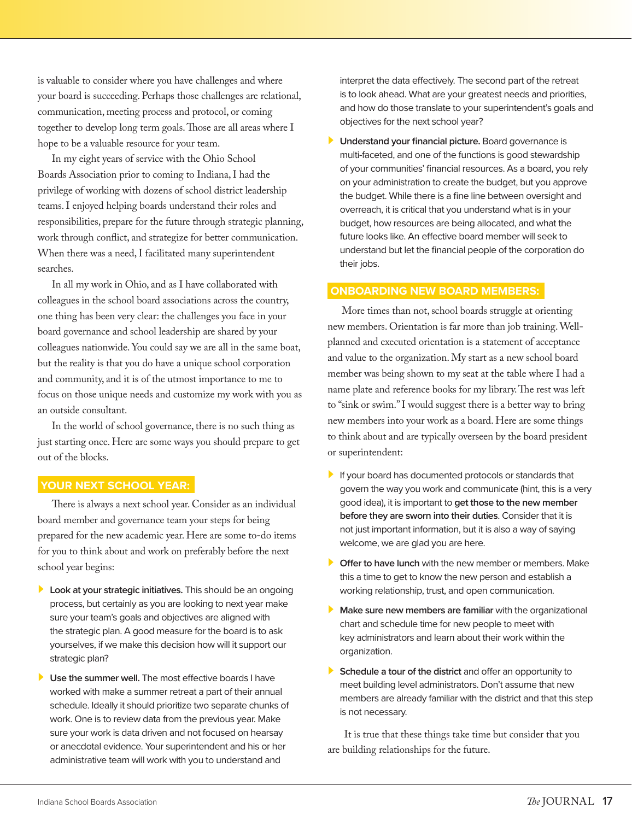is valuable to consider where you have challenges and where your board is succeeding. Perhaps those challenges are relational, communication, meeting process and protocol, or coming together to develop long term goals. Those are all areas where I hope to be a valuable resource for your team.

In my eight years of service with the Ohio School Boards Association prior to coming to Indiana, I had the privilege of working with dozens of school district leadership teams. I enjoyed helping boards understand their roles and responsibilities, prepare for the future through strategic planning, work through conflict, and strategize for better communication. When there was a need, I facilitated many superintendent searches.

In all my work in Ohio, and as I have collaborated with colleagues in the school board associations across the country, one thing has been very clear: the challenges you face in your board governance and school leadership are shared by your colleagues nationwide. You could say we are all in the same boat, but the reality is that you do have a unique school corporation and community, and it is of the utmost importance to me to focus on those unique needs and customize my work with you as an outside consultant.

In the world of school governance, there is no such thing as just starting once. Here are some ways you should prepare to get out of the blocks.

#### **YOUR NEXT SCHOOL YEAR:**

There is always a next school year. Consider as an individual board member and governance team your steps for being prepared for the new academic year. Here are some to-do items for you to think about and work on preferably before the next school year begins:

- **Look at your strategic initiatives.** This should be an ongoing process, but certainly as you are looking to next year make sure your team's goals and objectives are aligned with the strategic plan. A good measure for the board is to ask yourselves, if we make this decision how will it support our strategic plan?
- **Use the summer well.** The most effective boards I have worked with make a summer retreat a part of their annual schedule. Ideally it should prioritize two separate chunks of work. One is to review data from the previous year. Make sure your work is data driven and not focused on hearsay or anecdotal evidence. Your superintendent and his or her administrative team will work with you to understand and

interpret the data effectively. The second part of the retreat is to look ahead. What are your greatest needs and priorities, and how do those translate to your superintendent's goals and objectives for the next school year?

 **Understand your financial picture.** Board governance is multi-faceted, and one of the functions is good stewardship of your communities' financial resources. As a board, you rely on your administration to create the budget, but you approve the budget. While there is a fine line between oversight and overreach, it is critical that you understand what is in your budget, how resources are being allocated, and what the future looks like. An effective board member will seek to understand but let the financial people of the corporation do their jobs.

### **ONBOARDING NEW BOARD MEMBERS:**

More times than not, school boards struggle at orienting new members. Orientation is far more than job training. Wellplanned and executed orientation is a statement of acceptance and value to the organization. My start as a new school board member was being shown to my seat at the table where I had a name plate and reference books for my library. The rest was left to "sink or swim." I would suggest there is a better way to bring new members into your work as a board. Here are some things to think about and are typically overseen by the board president or superintendent:

- If your board has documented protocols or standards that govern the way you work and communicate (hint, this is a very good idea), it is important to **get those to the new member before they are sworn into their duties**. Consider that it is not just important information, but it is also a way of saying welcome, we are glad you are here.
- **Offer to have lunch** with the new member or members. Make this a time to get to know the new person and establish a working relationship, trust, and open communication.
- **Make sure new members are familiar** with the organizational chart and schedule time for new people to meet with key administrators and learn about their work within the organization.
- **Schedule a tour of the district** and offer an opportunity to meet building level administrators. Don't assume that new members are already familiar with the district and that this step is not necessary.

 It is true that these things take time but consider that you are building relationships for the future.